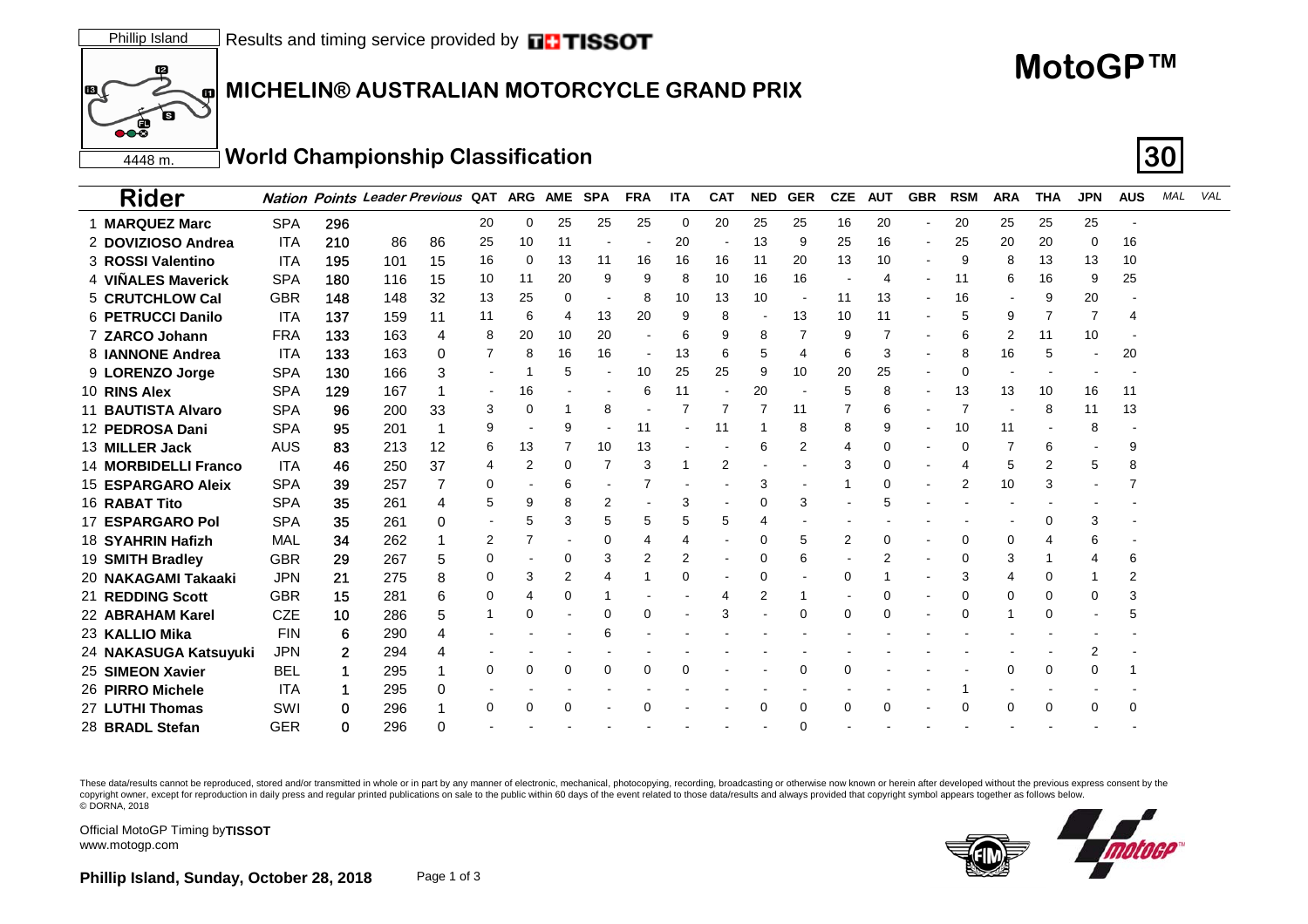## **MICHELIN® AUSTRALIAN MOTORCYCLE GRAND PRIX**

## **MotoGP™**

4448 m.**World Championship Classification 30**

| <b>Rider</b>             |            |     | <b>Nation Points Leader Previous QAT</b> |    |          | <b>ARG</b> | <b>AME</b> | <b>SPA</b> | <b>FRA</b> | <b>ITA</b> | <b>CAT</b>     | <b>NED</b> | <b>GER</b> | <b>CZE</b> | <b>AUT</b> | <b>GBR</b>                   | <b>RSM</b> | <b>ARA</b> | <b>THA</b> | <b>JPN</b> | <b>AUS</b> | MAL | VAL |
|--------------------------|------------|-----|------------------------------------------|----|----------|------------|------------|------------|------------|------------|----------------|------------|------------|------------|------------|------------------------------|------------|------------|------------|------------|------------|-----|-----|
| 1 MARQUEZ Marc           | <b>SPA</b> | 296 |                                          |    | 20       | 0          | 25         | 25         | 25         | 0          | 20             | 25         | 25         | 16         | 20         | $\qquad \qquad \blacksquare$ | 20         | 25         | 25         | 25         |            |     |     |
| 2 DOVIZIOSO Andrea       | <b>ITA</b> | 210 | 86                                       | 86 | 25       | 10         | 11         |            |            | 20         |                | 13         | 9          | 25         | 16         | $\qquad \qquad \blacksquare$ | 25         | 20         | 20         | 0          | 16         |     |     |
| 3 ROSSI Valentino        | <b>ITA</b> | 195 | 101                                      | 15 | 16       | 0          | 13         | 11         | 16         | 16         | 16             | 11         | 20         | 13         | 10         |                              | 9          | 8          | 13         | 13         | 10         |     |     |
| 4 VIÑALES Maverick       | <b>SPA</b> | 180 | 116                                      | 15 | 10       | 11         | 20         | 9          | 9          | 8          | 10             | 16         | 16         |            |            | ٠                            | 11         | 6          | 16         | 9          | 25         |     |     |
| 5 CRUTCHLOW Cal          | <b>GBR</b> | 148 | 148                                      | 32 | 13       | 25         | 0          |            | 8          | 10         | 13             | 10         |            | 11         | 13         |                              | 16         |            | 9          | 20         |            |     |     |
| <b>6 PETRUCCI Danilo</b> | <b>ITA</b> | 137 | 159                                      | 11 | 11       | 6          | 4          | 13         | 20         | 9          | 8              |            | 13         | 10         | 11         |                              |            | 9          |            | 7          |            |     |     |
| 7 ZARCO Johann           | <b>FRA</b> | 133 | 163                                      | 4  | 8        | 20         | 10         | 20         |            | 6          | 9              | 8          |            | 9          |            |                              | 6          | 2          | 11         | 10         |            |     |     |
| 8 <b>JANNONE</b> Andrea  | <b>ITA</b> | 133 | 163                                      | 0  | 7        | 8          | 16         | 16         |            | 13         | 6              | 5          | 4          | 6          | 3          |                              | 8          | 16         |            | ۰          | 20         |     |     |
| 9 LORENZO Jorge          | <b>SPA</b> | 130 | 166                                      | 3  |          | -1         | 5          |            | 10         | 25         | 25             | 9          | 10         | 20         | 25         |                              | $\Omega$   |            |            |            |            |     |     |
| 10 RINS Alex             | <b>SPA</b> | 129 | 167                                      |    |          | 16         |            |            | 6          | 11         |                | 20         |            | 5          |            |                              | 13         | 13         | 10         | 16         | 11         |     |     |
| 11 BAUTISTA Alvaro       | <b>SPA</b> | 96  | 200                                      | 33 | 3        | 0          |            | 8          |            |            |                |            | 11         |            | 6          |                              |            |            | 8          | 11         | 13         |     |     |
| 12 PEDROSA Dani          | <b>SPA</b> | 95  | 201                                      |    | g        |            | 9          |            | 11         |            | 11             |            | 8          | 8          | 9          |                              | 10         | 11         |            | 8          |            |     |     |
| 13 MILLER Jack           | <b>AUS</b> | 83  | 213                                      | 12 | 6        | 13         |            | 10         | 13         |            |                | 6          | 2          | 4          |            |                              |            |            | 6          |            | 9          |     |     |
| 14 MORBIDELLI Franco     | <b>ITA</b> | 46  | 250                                      | 37 | 4        | 2          | 0          |            | 3          |            | $\overline{2}$ |            |            | 3          |            |                              |            | 5          | 2          | 5          | 8          |     |     |
| 15 ESPARGARO Aleix       | <b>SPA</b> | 39  | 257                                      |    | 0        |            | 6          |            |            |            |                | 3          |            |            | 0          |                              | 2          | 10         |            |            |            |     |     |
| 16 RABAT Tito            | <b>SPA</b> | 35  | 261                                      | 4  | 5        | 9          |            | 2          |            | 3          |                | 0          | 3          |            |            |                              |            |            |            |            |            |     |     |
| 17 ESPARGARO Pol         | <b>SPA</b> | 35  | 261                                      | 0  |          |            | 3          |            | 5          | 5          | 5              |            |            |            |            |                              |            |            |            |            |            |     |     |
| 18 SYAHRIN Hafizh        | MAL        | 34  | 262                                      |    | 2        |            |            | 0          | 4          |            |                | $\Omega$   | 5          | 2          | $\Omega$   |                              |            |            |            | 6          |            |     |     |
| 19 SMITH Bradley         | <b>GBR</b> | 29  | 267                                      | 5  | 0        |            | 0          |            | 2          |            |                | 0          | 6          |            |            |                              |            |            |            |            | 6          |     |     |
| 20 NAKAGAMI Takaaki      | <b>JPN</b> | 21  | 275                                      | 8  | $\Omega$ | 3          | 2          |            |            | 0          |                | 0          |            | $\Omega$   |            |                              | 3          |            |            |            | 2          |     |     |
| 21 REDDING Scott         | <b>GBR</b> | 15  | 281                                      | 6  | 0        |            |            |            |            |            | 4              | 2          |            |            |            |                              |            |            |            |            | 3          |     |     |
| 22 ABRAHAM Karel         | <b>CZE</b> | 10  | 286                                      | 5  |          | 0          |            | $\Omega$   | 0          |            | 3              |            | $\Omega$   | 0          | 0          |                              | $\Omega$   |            |            |            |            |     |     |
| 23 KALLIO Mika           | <b>FIN</b> | 6   | 290                                      | 4  |          |            |            |            |            |            |                |            |            |            |            |                              |            |            |            |            |            |     |     |
| 24 NAKASUGA Katsuyuki    | <b>JPN</b> | 2   | 294                                      |    |          |            |            |            |            |            |                |            |            |            |            |                              |            |            |            | 2          |            |     |     |
| 25 SIMEON Xavier         | <b>BEL</b> |     | 295                                      |    | 0        | 0          | 0          | $\Omega$   | 0          | 0          |                |            | O          | $\Omega$   |            |                              |            |            | $\Omega$   | ∩          |            |     |     |
| 26 PIRRO Michele         | <b>ITA</b> |     | 295                                      | 0  |          |            |            |            |            |            |                |            |            |            |            |                              |            |            |            |            |            |     |     |
| 27 LUTHI Thomas          | SWI        | 0   | 296                                      |    | 0        | 0          | 0          |            | 0          |            |                | $\Omega$   | $\Omega$   | $\Omega$   | O          |                              |            | $\Omega$   | $\Omega$   | $\Omega$   | 0          |     |     |
| 28 BRADL Stefan          | <b>GER</b> | 0   | 296                                      |    |          |            |            |            |            |            |                |            |            |            |            |                              |            |            |            |            |            |     |     |

These data/results cannot be reproduced, stored and/or transmitted in whole or in part by any manner of electronic, mechanical, photocopying, recording, broadcasting or otherwise now known or herein after developed without copyright owner, except for reproduction in daily press and regular printed publications on sale to the public within 60 days of the event related to those data/results and always provided that copyright symbol appears tog © DORNA, 2018



Official MotoGP Timing by **TISSOT**www.motogp.com

10

∖ड

 $\overline{\bullet}$ 

60

國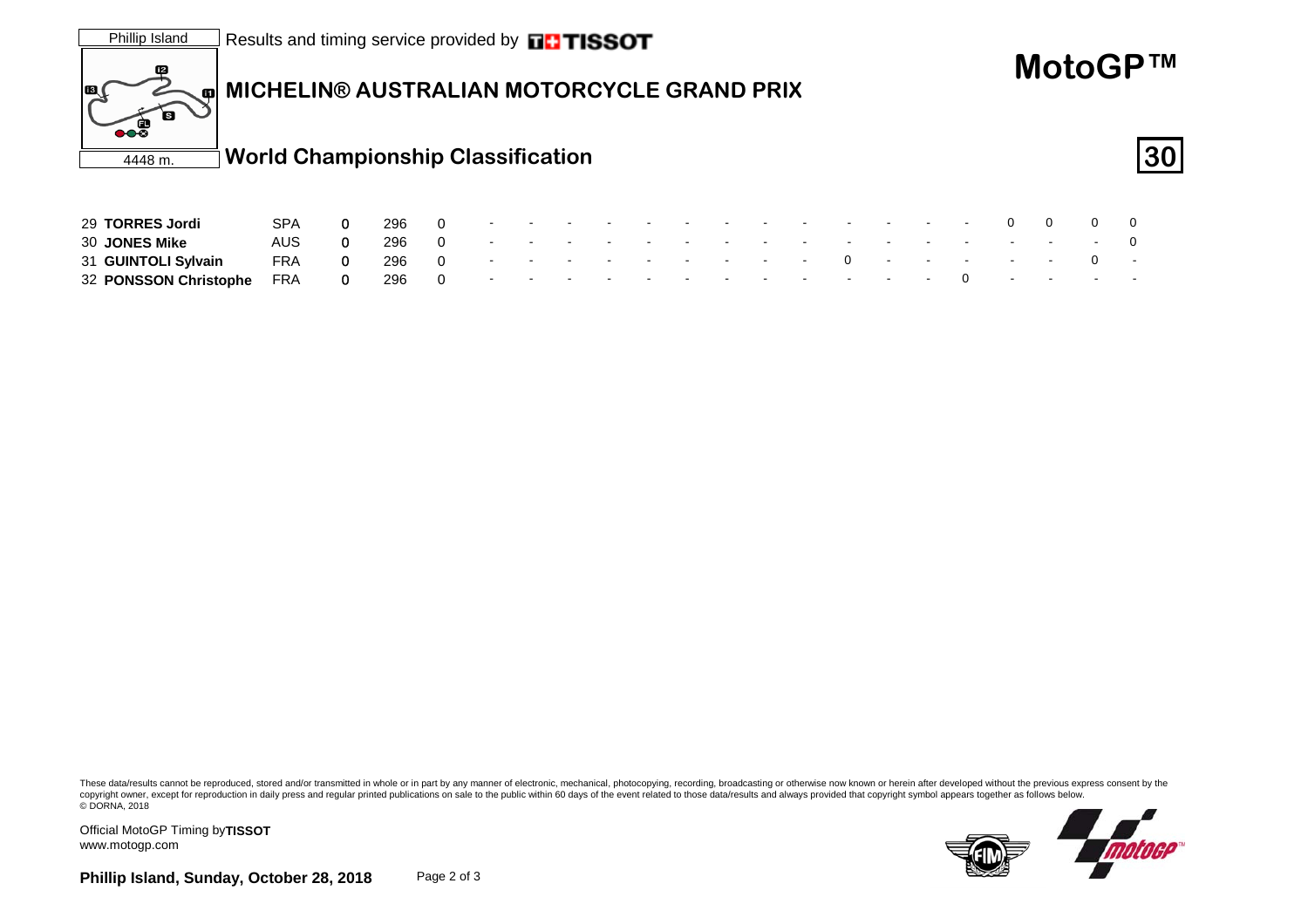

31 **GUINTOLI Sylvain** FRA 0 296 0 --------- 0--- -- <sup>0</sup> - 32 **PONSSON Christophe** FRA 0 296 0 - - - - - - - - - - - -0 - - - -

These data/results cannot be reproduced, stored and/or transmitted in whole or in part by any manner of electronic, mechanical, photocopying, recording, broadcasting or otherwise now known or herein after developed without copyright owner, except for reproduction in daily press and regular printed publications on sale to the public within 60 days of the event related to those data/results and always provided that copyright symbol appears tog © DORNA, 2018



Official MotoGP Timing by **TISSOT**www.motogp.com